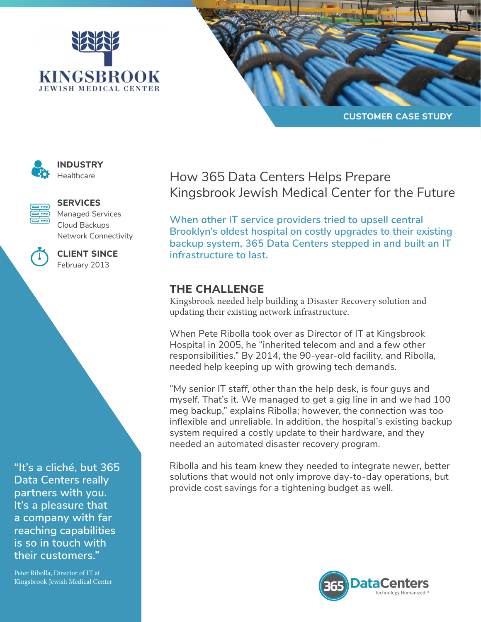





**INDUSTRY Healthcare** 



## **SERVICES**

Managed Services Cloud Backups Network Connectivity



**CLIENT SINCE** February 2013

**"It's a cliché, but 365 Data Centers really partners with you. It's a pleasure that a company with far reaching capabilities is so in touch with their customers."**

Peter Ribolla, Director of IT at Kingsbrook Jewish Medical Center How 365 Data Centers Helps Prepare Kingsbrook Jewish Medical Center for the Future

**When other IT service providers tried to upsell central Brooklyn's oldest hospital on costly upgrades to their existing backup system, 365 Data Centers stepped in and built an IT infrastructure to last.** 

## **THE CHALLENGE**

Kingsbrook needed help building a Disaster Recovery solution and updating their existing network infrastructure.

When Pete Ribolla took over as Director of IT at Kingsbrook Hospital in 2005, he "inherited telecom and and a few other responsibilities." By 2014, the 90-year-old facility, and Ribolla, needed help keeping up with growing tech demands.

"My senior IT staff, other than the help desk, is four guys and myself. That's it. We managed to get a gig line in and we had 100 meg backup," explains Ribolla; however, the connection was too inflexible and unreliable. In addition, the hospital's existing backup system required a costly update to their hardware, and they needed an automated disaster recovery program.

Ribolla and his team knew they needed to integrate newer, better solutions that would not only improve day-to-day operations, but provide cost savings for a tightening budget as well.

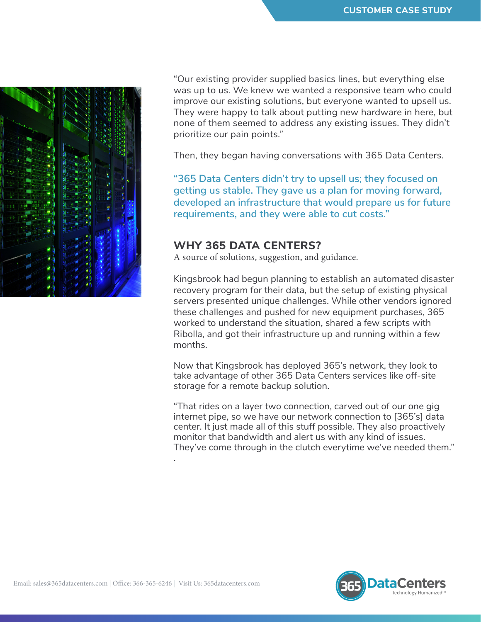

"Our existing provider supplied basics lines, but everything else was up to us. We knew we wanted a responsive team who could improve our existing solutions, but everyone wanted to upsell us. They were happy to talk about putting new hardware in here, but none of them seemed to address any existing issues. They didn't prioritize our pain points."

Then, they began having conversations with 365 Data Centers.

**"365 Data Centers didn't try to upsell us; they focused on getting us stable. They gave us a plan for moving forward, developed an infrastructure that would prepare us for future requirements, and they were able to cut costs."**

## **WHY 365 DATA CENTERS?**

A source of solutions, suggestion, and guidance.

Kingsbrook had begun planning to establish an automated disaster recovery program for their data, but the setup of existing physical servers presented unique challenges. While other vendors ignored these challenges and pushed for new equipment purchases, 365 worked to understand the situation, shared a few scripts with Ribolla, and got their infrastructure up and running within a few months.

Now that Kingsbrook has deployed 365's network, they look to take advantage of other 365 Data Centers services like off-site storage for a remote backup solution.

"That rides on a layer two connection, carved out of our one gig internet pipe, so we have our network connection to [365's] data center. It just made all of this stuff possible. They also proactively monitor that bandwidth and alert us with any kind of issues. They've come through in the clutch everytime we've needed them."



.